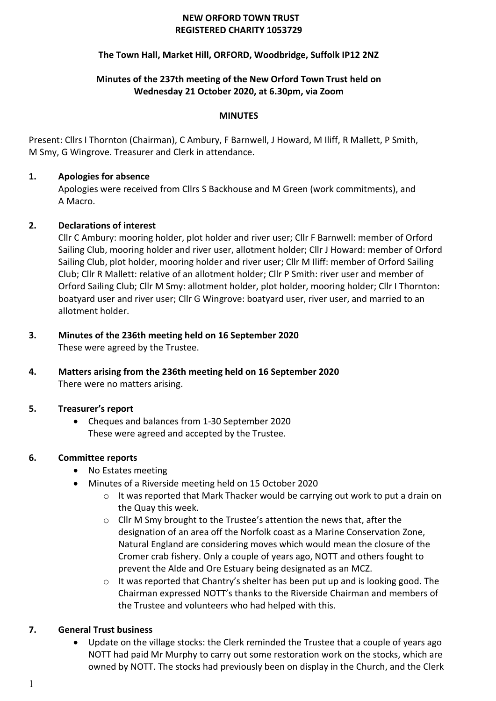#### **NEW ORFORD TOWN TRUST REGISTERED CHARITY 1053729**

# **The Town Hall, Market Hill, ORFORD, Woodbridge, Suffolk IP12 2NZ**

# **Minutes of the 237th meeting of the New Orford Town Trust held on Wednesday 21 October 2020, at 6.30pm, via Zoom**

#### **MINUTES**

Present: Cllrs I Thornton (Chairman), C Ambury, F Barnwell, J Howard, M Iliff, R Mallett, P Smith, M Smy, G Wingrove. Treasurer and Clerk in attendance.

# **1. Apologies for absence**

Apologies were received from Cllrs S Backhouse and M Green (work commitments), and A Macro.

# **2. Declarations of interest**

Cllr C Ambury: mooring holder, plot holder and river user; Cllr F Barnwell: member of Orford Sailing Club, mooring holder and river user, allotment holder; Cllr J Howard: member of Orford Sailing Club, plot holder, mooring holder and river user; Cllr M Iliff: member of Orford Sailing Club; Cllr R Mallett: relative of an allotment holder; Cllr P Smith: river user and member of Orford Sailing Club; Cllr M Smy: allotment holder, plot holder, mooring holder; Cllr I Thornton: boatyard user and river user; Cllr G Wingrove: boatyard user, river user, and married to an allotment holder.

#### **3. Minutes of the 236th meeting held on 16 September 2020** These were agreed by the Trustee.

**4. Matters arising from the 236th meeting held on 16 September 2020** There were no matters arising.

# **5. Treasurer's report**

• Cheques and balances from 1-30 September 2020 These were agreed and accepted by the Trustee.

# **6. Committee reports**

- No Estates meeting
- Minutes of a Riverside meeting held on 15 October 2020
	- o It was reported that Mark Thacker would be carrying out work to put a drain on the Quay this week.
	- o Cllr M Smy brought to the Trustee's attention the news that, after the designation of an area off the Norfolk coast as a Marine Conservation Zone, Natural England are considering moves which would mean the closure of the Cromer crab fishery. Only a couple of years ago, NOTT and others fought to prevent the Alde and Ore Estuary being designated as an MCZ.
	- $\circ$  It was reported that Chantry's shelter has been put up and is looking good. The Chairman expressed NOTT's thanks to the Riverside Chairman and members of the Trustee and volunteers who had helped with this.

# **7. General Trust business**

• Update on the village stocks: the Clerk reminded the Trustee that a couple of years ago NOTT had paid Mr Murphy to carry out some restoration work on the stocks, which are owned by NOTT. The stocks had previously been on display in the Church, and the Clerk